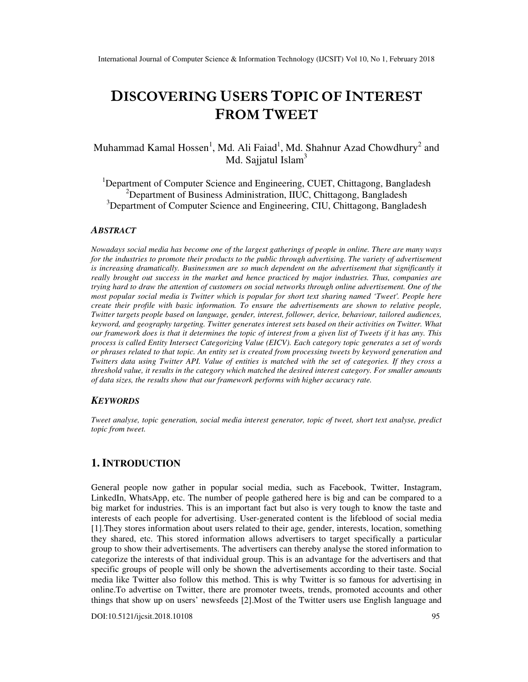# **DISCOVERING USERS TOPIC OF INTEREST FROM TWEET**

Muhammad Kamal Hossen<sup>1</sup>, Md. Ali Faiad<sup>1</sup>, Md. Shahnur Azad Chowdhury<sup>2</sup> and Md. Sajjatul Islam<sup>3</sup>

<sup>1</sup>Department of Computer Science and Engineering, CUET, Chittagong, Bangladesh <sup>2</sup>Department of Business Administration, IIUC, Chittagong, Bangladesh <sup>3</sup>Department of Computer Science and Engineering, CIU, Chittagong, Bangladesh

## *ABSTRACT*

*Nowadays social media has become one of the largest gatherings of people in online. There are many ways for the industries to promote their products to the public through advertising. The variety of advertisement is increasing dramatically. Businessmen are so much dependent on the advertisement that significantly it really brought out success in the market and hence practiced by major industries. Thus, companies are trying hard to draw the attention of customers on social networks through online advertisement. One of the most popular social media is Twitter which is popular for short text sharing named 'Tweet'. People here create their profile with basic information. To ensure the advertisements are shown to relative people, Twitter targets people based on language, gender, interest, follower, device, behaviour, tailored audiences, keyword, and geography targeting. Twitter generates interest sets based on their activities on Twitter. What our framework does is that it determines the topic of interest from a given list of Tweets if it has any. This process is called Entity Intersect Categorizing Value (EICV). Each category topic generates a set of words or phrases related to that topic. An entity set is created from processing tweets by keyword generation and Twitters data using Twitter API. Value of entities is matched with the set of categories. If they cross a threshold value, it results in the category which matched the desired interest category. For smaller amounts of data sizes, the results show that our framework performs with higher accuracy rate.* 

#### *KEYWORDS*

*Tweet analyse, topic generation, social media interest generator, topic of tweet, short text analyse, predict topic from tweet.* 

# **1. INTRODUCTION**

General people now gather in popular social media, such as Facebook, Twitter, Instagram, LinkedIn, WhatsApp, etc. The number of people gathered here is big and can be compared to a big market for industries. This is an important fact but also is very tough to know the taste and interests of each people for advertising. User-generated content is the lifeblood of social media [1].They stores information about users related to their age, gender, interests, location, something they shared, etc. This stored information allows advertisers to target specifically a particular group to show their advertisements. The advertisers can thereby analyse the stored information to categorize the interests of that individual group. This is an advantage for the advertisers and that specific groups of people will only be shown the advertisements according to their taste. Social media like Twitter also follow this method. This is why Twitter is so famous for advertising in online.To advertise on Twitter, there are promoter tweets, trends, promoted accounts and other things that show up on users' newsfeeds [2].Most of the Twitter users use English language and

DOI:10.5121/ijcsit.2018.10108 95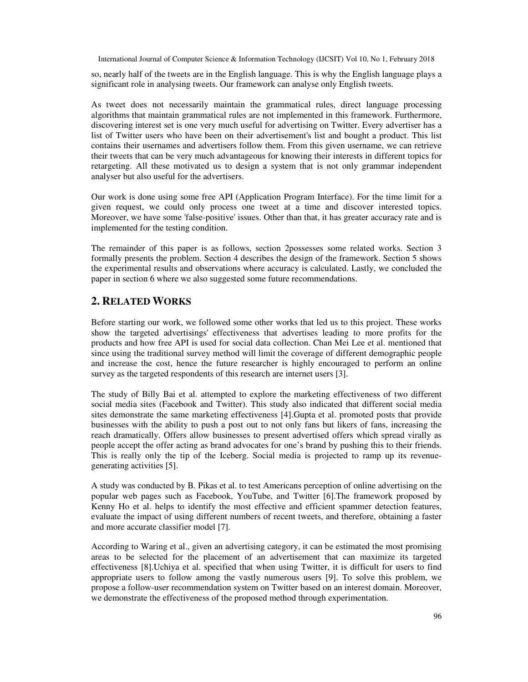so, nearly half of the tweets are in the English language. This is why the English language plays a significant role in analysing tweets. Our framework can analyse only English tweets.

As tweet does not necessarily maintain the grammatical rules, direct language processing algorithms that maintain grammatical rules are not implemented in this framework. Furthermore, discovering interest set is one very much useful for advertising on Twitter. Every advertiser has a list of Twitter users who have been on their advertisement's list and bought a product. This list contains their usernames and advertisers follow them. From this given username, we can retrieve their tweets that can be very much advantageous for knowing their interests in different topics for retargeting. All these motivated us to design a system that is not only grammar independent analyser but also useful for the advertisers.

Our work is done using some free API (Application Program Interface). For the time limit for a given request, we could only process one tweet at a time and discover interested topics. Moreover, we have some 'false-positive' issues. Other than that, it has greater accuracy rate and is implemented for the testing condition.

The remainder of this paper is as follows, section 2possesses some related works. Section 3 formally presents the problem. Section 4 describes the design of the framework. Section 5 shows the experimental results and observations where accuracy is calculated. Lastly, we concluded the paper in section 6 where we also suggested some future recommendations.

# **2. RELATED WORKS**

Before starting our work, we followed some other works that led us to this project. These works show the targeted advertisings' effectiveness that advertises leading to more profits for the products and how free API is used for social data collection. Chan Mei Lee et al. mentioned that since using the traditional survey method will limit the coverage of different demographic people and increase the cost, hence the future researcher is highly encouraged to perform an online survey as the targeted respondents of this research are internet users [3].

The study of Billy Bai et al. attempted to explore the marketing effectiveness of two different social media sites (Facebook and Twitter). This study also indicated that different social media sites demonstrate the same marketing effectiveness [4].Gupta et al. promoted posts that provide businesses with the ability to push a post out to not only fans but likers of fans, increasing the reach dramatically. Offers allow businesses to present advertised offers which spread virally as people accept the offer acting as brand advocates for one's brand by pushing this to their friends. This is really only the tip of the Iceberg. Social media is projected to ramp up its revenuegenerating activities [5].

A study was conducted by B. Pikas et al. to test Americans perception of online advertising on the popular web pages such as Facebook, YouTube, and Twitter [6].The framework proposed by Kenny Ho et al. helps to identify the most effective and efficient spammer detection features, evaluate the impact of using different numbers of recent tweets, and therefore, obtaining a faster and more accurate classifier model [7].

According to Waring et al., given an advertising category, it can be estimated the most promising areas to be selected for the placement of an advertisement that can maximize its targeted effectiveness [8].Uchiya et al. specified that when using Twitter, it is difficult for users to find appropriate users to follow among the vastly numerous users [9]. To solve this problem, we propose a follow-user recommendation system on Twitter based on an interest domain. Moreover, we demonstrate the effectiveness of the proposed method through experimentation.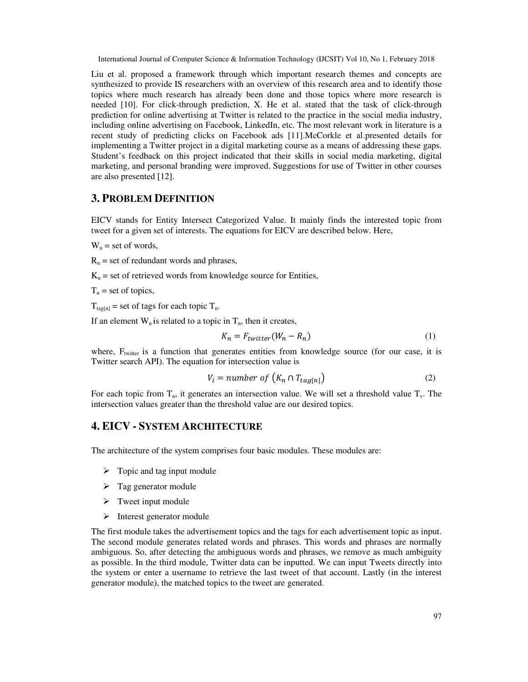Liu et al. proposed a framework through which important research themes and concepts are synthesized to provide IS researchers with an overview of this research area and to identify those topics where much research has already been done and those topics where more research is needed [10]. For click-through prediction, X. He et al. stated that the task of click-through prediction for online advertising at Twitter is related to the practice in the social media industry, including online advertising on Facebook, LinkedIn, etc. The most relevant work in literature is a recent study of predicting clicks on Facebook ads [11].McCorkle et al.presented details for implementing a Twitter project in a digital marketing course as a means of addressing these gaps. Student's feedback on this project indicated that their skills in social media marketing, digital marketing, and personal branding were improved. Suggestions for use of Twitter in other courses are also presented [12].

# **3. PROBLEM DEFINITION**

EICV stands for Entity Intersect Categorized Value. It mainly finds the interested topic from tweet for a given set of interests. The equations for EICV are described below. Here,

 $W_n$  = set of words,

 $R_n$  = set of redundant words and phrases,

 $K_n$  = set of retrieved words from knowledge source for Entities,

 $T_n$  = set of topics,

 $T_{tag[n]}$  = set of tags for each topic  $T_n$ .

If an element  $W_n$  is related to a topic in  $T_n$ , then it creates,

$$
K_n = F_{twitter}(W_n - R_n)
$$
\n<sup>(1)</sup>

where,  $F_{\text{witter}}$  is a function that generates entities from knowledge source (for our case, it is Twitter search API). The equation for intersection value is

$$
V_i = number of (K_n \cap T_{tag[n]})
$$
 (2)

For each topic from  $T_n$ , it generates an intersection value. We will set a threshold value  $T_v$ . The intersection values greater than the threshold value are our desired topics.

# **4. EICV - SYSTEM ARCHITECTURE**

The architecture of the system comprises four basic modules. These modules are:

- $\triangleright$  Topic and tag input module
- $\triangleright$  Tag generator module
- $\triangleright$  Tweet input module
- $\triangleright$  Interest generator module

The first module takes the advertisement topics and the tags for each advertisement topic as input. The second module generates related words and phrases. This words and phrases are normally ambiguous. So, after detecting the ambiguous words and phrases, we remove as much ambiguity as possible. In the third module, Twitter data can be inputted. We can input Tweets directly into the system or enter a username to retrieve the last tweet of that account. Lastly (in the interest generator module), the matched topics to the tweet are generated.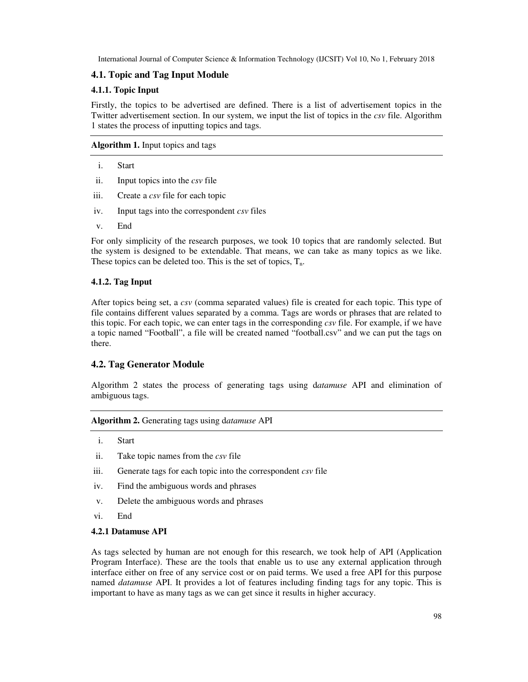## **4.1. Topic and Tag Input Module**

## **4.1.1. Topic Input**

Firstly, the topics to be advertised are defined. There is a list of advertisement topics in the Twitter advertisement section. In our system, we input the list of topics in the *csv* file. Algorithm 1 states the process of inputting topics and tags.

## **Algorithm 1.** Input topics and tags

- i. Start
- ii. Input topics into the *csv* file
- iii. Create a *csv* file for each topic
- iv. Input tags into the correspondent *csv* files
- v. End

For only simplicity of the research purposes, we took 10 topics that are randomly selected. But the system is designed to be extendable. That means, we can take as many topics as we like. These topics can be deleted too. This is the set of topics,  $T_n$ .

## **4.1.2. Tag Input**

After topics being set, a *csv* (comma separated values) file is created for each topic. This type of file contains different values separated by a comma. Tags are words or phrases that are related to this topic. For each topic, we can enter tags in the corresponding *csv* file. For example, if we have a topic named "Football", a file will be created named "football.csv" and we can put the tags on there.

## **4.2. Tag Generator Module**

Algorithm 2 states the process of generating tags using d*atamuse* API and elimination of ambiguous tags.

#### **Algorithm 2.** Generating tags using d*atamuse* API

- i. Start
- ii. Take topic names from the *csv* file
- iii. Generate tags for each topic into the correspondent *csv* file
- iv. Find the ambiguous words and phrases
- v. Delete the ambiguous words and phrases
- vi. End

## **4.2.1 Datamuse API**

As tags selected by human are not enough for this research, we took help of API (Application Program Interface). These are the tools that enable us to use any external application through interface either on free of any service cost or on paid terms. We used a free API for this purpose named *datamuse* API. It provides a lot of features including finding tags for any topic. This is important to have as many tags as we can get since it results in higher accuracy.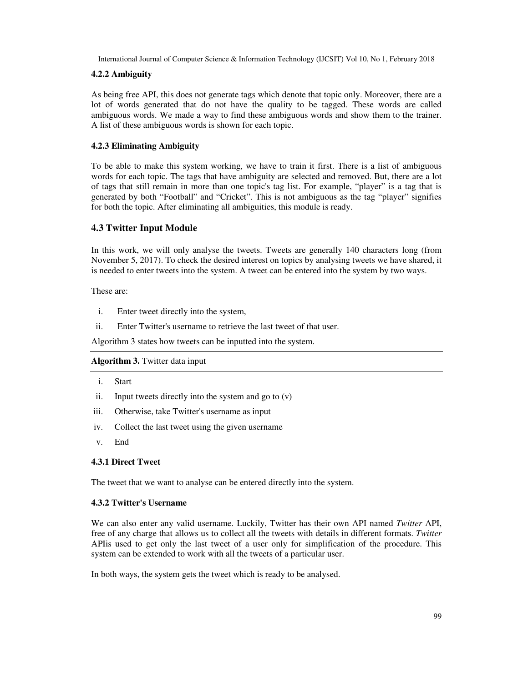## **4.2.2 Ambiguity**

As being free API, this does not generate tags which denote that topic only. Moreover, there are a lot of words generated that do not have the quality to be tagged. These words are called ambiguous words. We made a way to find these ambiguous words and show them to the trainer. A list of these ambiguous words is shown for each topic.

## **4.2.3 Eliminating Ambiguity**

To be able to make this system working, we have to train it first. There is a list of ambiguous words for each topic. The tags that have ambiguity are selected and removed. But, there are a lot of tags that still remain in more than one topic's tag list. For example, "player" is a tag that is generated by both "Football" and "Cricket". This is not ambiguous as the tag "player" signifies for both the topic. After eliminating all ambiguities, this module is ready.

## **4.3 Twitter Input Module**

In this work, we will only analyse the tweets. Tweets are generally 140 characters long (from November 5, 2017). To check the desired interest on topics by analysing tweets we have shared, it is needed to enter tweets into the system. A tweet can be entered into the system by two ways.

These are:

- i. Enter tweet directly into the system,
- ii. Enter Twitter's username to retrieve the last tweet of that user.

Algorithm 3 states how tweets can be inputted into the system.

## **Algorithm 3.** Twitter data input

- i. Start
- ii. Input tweets directly into the system and go to (v)
- iii. Otherwise, take Twitter's username as input
- iv. Collect the last tweet using the given username
- v. End

## **4.3.1 Direct Tweet**

The tweet that we want to analyse can be entered directly into the system.

## **4.3.2 Twitter's Username**

We can also enter any valid username. Luckily, Twitter has their own API named *Twitter* API, free of any charge that allows us to collect all the tweets with details in different formats. *Twitter*  APIis used to get only the last tweet of a user only for simplification of the procedure. This system can be extended to work with all the tweets of a particular user.

In both ways, the system gets the tweet which is ready to be analysed.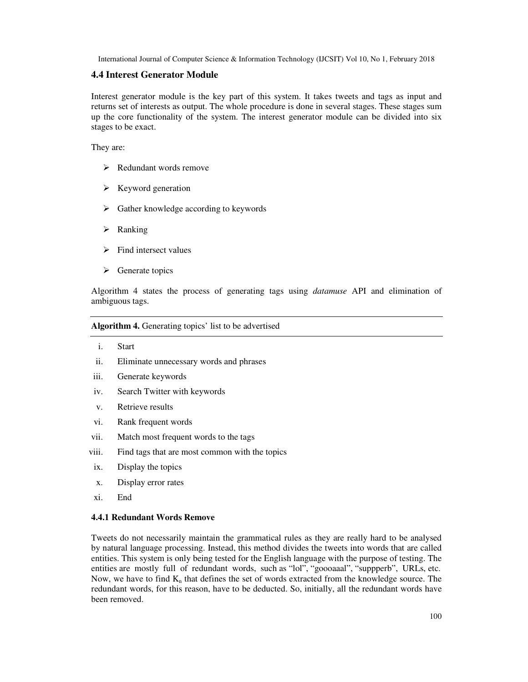## **4.4 Interest Generator Module**

Interest generator module is the key part of this system. It takes tweets and tags as input and returns set of interests as output. The whole procedure is done in several stages. These stages sum up the core functionality of the system. The interest generator module can be divided into six stages to be exact.

They are:

- $\triangleright$  Redundant words remove
- $\triangleright$  Keyword generation
- $\triangleright$  Gather knowledge according to keywords
- $\triangleright$  Ranking
- $\triangleright$  Find intersect values
- $\triangleright$  Generate topics

Algorithm 4 states the process of generating tags using *datamuse* API and elimination of ambiguous tags.

## **Algorithm 4.** Generating topics' list to be advertised

- i. Start
- ii. Eliminate unnecessary words and phrases
- iii. Generate keywords
- iv. Search Twitter with keywords
- v. Retrieve results
- vi. Rank frequent words
- vii. Match most frequent words to the tags
- viii. Find tags that are most common with the topics
- ix. Display the topics
- x. Display error rates
- xi. End

## **4.4.1 Redundant Words Remove**

Tweets do not necessarily maintain the grammatical rules as they are really hard to be analysed by natural language processing. Instead, this method divides the tweets into words that are called entities. This system is only being tested for the English language with the purpose of testing. The entities are mostly full of redundant words, such as "lol", "goooaaal", "suppperb", URLs, etc. Now, we have to find  $K_n$  that defines the set of words extracted from the knowledge source. The redundant words, for this reason, have to be deducted. So, initially, all the redundant words have been removed.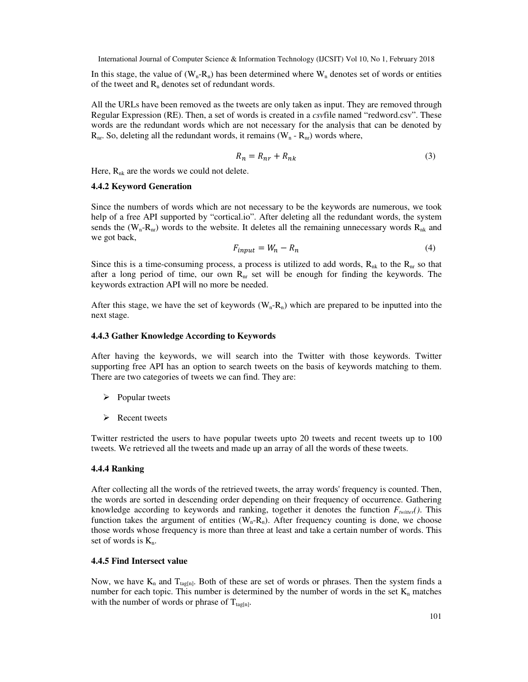In this stage, the value of  $(W_n-R_n)$  has been determined where  $W_n$  denotes set of words or entities of the tweet and  $R_n$  denotes set of redundant words.

All the URLs have been removed as the tweets are only taken as input. They are removed through Regular Expression (RE). Then, a set of words is created in a *csv*file named "redword.csv". These words are the redundant words which are not necessary for the analysis that can be denoted by  $R_{nr}$ . So, deleting all the redundant words, it remains ( $W_n$  -  $R_{nr}$ ) words where,

$$
R_n = R_{nr} + R_{nk} \tag{3}
$$

Here,  $R_{nk}$  are the words we could not delete.

#### **4.4.2 Keyword Generation**

Since the numbers of words which are not necessary to be the keywords are numerous, we took help of a free API supported by "cortical.io". After deleting all the redundant words, the system sends the ( $W_n-R_{nr}$ ) words to the website. It deletes all the remaining unnecessary words  $R_{nk}$  and we got back,

$$
F_{input} = W_n - R_n \tag{4}
$$

Since this is a time-consuming process, a process is utilized to add words,  $R_{nk}$  to the  $R_{nr}$  so that after a long period of time, our own  $R_{nr}$  set will be enough for finding the keywords. The keywords extraction API will no more be needed.

After this stage, we have the set of keywords  $(W_n-R_n)$  which are prepared to be inputted into the next stage.

#### **4.4.3 Gather Knowledge According to Keywords**

After having the keywords, we will search into the Twitter with those keywords. Twitter supporting free API has an option to search tweets on the basis of keywords matching to them. There are two categories of tweets we can find. They are:

- $\triangleright$  Popular tweets
- $\triangleright$  Recent tweets

Twitter restricted the users to have popular tweets upto 20 tweets and recent tweets up to 100 tweets. We retrieved all the tweets and made up an array of all the words of these tweets.

#### **4.4.4 Ranking**

After collecting all the words of the retrieved tweets, the array words' frequency is counted. Then, the words are sorted in descending order depending on their frequency of occurrence. Gathering knowledge according to keywords and ranking, together it denotes the function *Ftwitter()*. This function takes the argument of entities  $(W_n - R_n)$ . After frequency counting is done, we choose those words whose frequency is more than three at least and take a certain number of words. This set of words is  $K_n$ .

#### **4.4.5 Find Intersect value**

Now, we have  $K_n$  and  $T_{tag[n]}$ . Both of these are set of words or phrases. Then the system finds a number for each topic. This number is determined by the number of words in the set  $K_n$  matches with the number of words or phrase of  $T_{tag[n]}$ .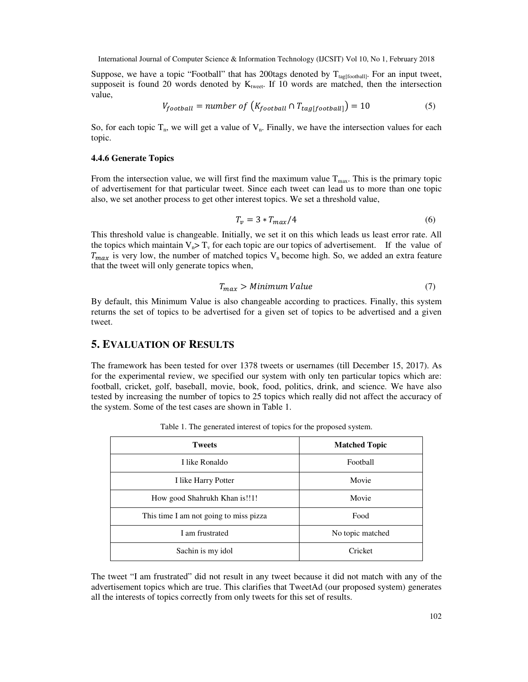Suppose, we have a topic "Football" that has 200tags denoted by  $T_{tagfoothall}$ . For an input tweet, supposeit is found 20 words denoted by  $K_{\text{tweet}}$ . If 10 words are matched, then the intersection value,

$$
V_{football} = number of (K_{football} \cap T_{tag[football]}) = 10
$$
 (5)

So, for each topic  $T_n$ , we will get a value of  $V_n$ . Finally, we have the intersection values for each topic.

#### **4.4.6 Generate Topics**

From the intersection value, we will first find the maximum value  $T_{\text{max}}$ . This is the primary topic of advertisement for that particular tweet. Since each tweet can lead us to more than one topic also, we set another process to get other interest topics. We set a threshold value,

$$
T_v = 3 * T_{max}/4 \tag{6}
$$

This threshold value is changeable. Initially, we set it on this which leads us least error rate. All the topics which maintain  $V_n > T_v$  for each topic are our topics of advertisement. If the value of  $T_{max}$  is very low, the number of matched topics  $V_n$  become high. So, we added an extra feature that the tweet will only generate topics when,

$$
T_{max} > Minimum Value \tag{7}
$$

By default, this Minimum Value is also changeable according to practices. Finally, this system returns the set of topics to be advertised for a given set of topics to be advertised and a given tweet.

## **5. EVALUATION OF RESULTS**

The framework has been tested for over 1378 tweets or usernames (till December 15, 2017). As for the experimental review, we specified our system with only ten particular topics which are: football, cricket, golf, baseball, movie, book, food, politics, drink, and science. We have also tested by increasing the number of topics to 25 topics which really did not affect the accuracy of the system. Some of the test cases are shown in Table 1.

| <b>Tweets</b>                          | <b>Matched Topic</b> |
|----------------------------------------|----------------------|
| I like Ronaldo                         | Football             |
| I like Harry Potter                    | Movie                |
| How good Shahrukh Khan is!!!!          | Movie                |
| This time I am not going to miss pizza | Food                 |
| I am frustrated                        | No topic matched     |
| Sachin is my idol                      | Cricket              |

Table 1. The generated interest of topics for the proposed system.

The tweet "I am frustrated" did not result in any tweet because it did not match with any of the advertisement topics which are true. This clarifies that TweetAd (our proposed system) generates all the interests of topics correctly from only tweets for this set of results.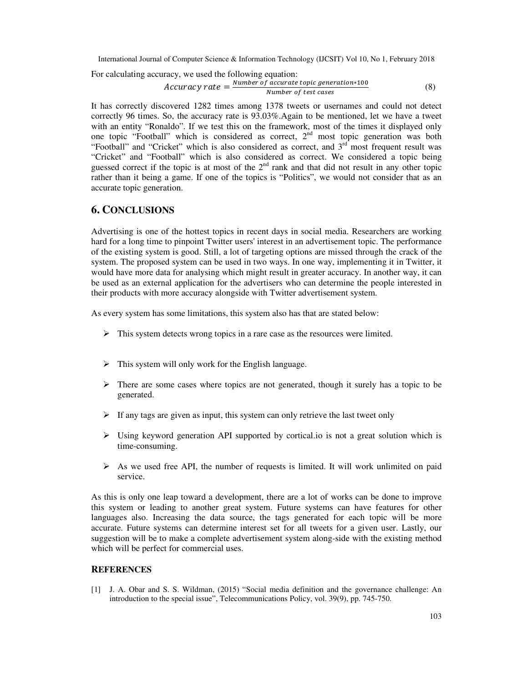For calculating accuracy, we used the following equation:

$$
Accuracy rate = \frac{Number of accurate topic generation*100}{Number of test cases}
$$
 (8)

It has correctly discovered 1282 times among 1378 tweets or usernames and could not detect correctly 96 times. So, the accuracy rate is 93.03%.Again to be mentioned, let we have a tweet with an entity "Ronaldo". If we test this on the framework, most of the times it displayed only one topic "Football" which is considered as correct,  $2<sup>nd</sup>$  most topic generation was both "Football" and "Cricket" which is also considered as correct, and  $3<sup>rd</sup>$  most frequent result was "Cricket" and "Football" which is also considered as correct. We considered a topic being guessed correct if the topic is at most of the  $2<sup>nd</sup>$  rank and that did not result in any other topic rather than it being a game. If one of the topics is "Politics", we would not consider that as an accurate topic generation.

# **6. CONCLUSIONS**

Advertising is one of the hottest topics in recent days in social media. Researchers are working hard for a long time to pinpoint Twitter users' interest in an advertisement topic. The performance of the existing system is good. Still, a lot of targeting options are missed through the crack of the system. The proposed system can be used in two ways. In one way, implementing it in Twitter, it would have more data for analysing which might result in greater accuracy. In another way, it can be used as an external application for the advertisers who can determine the people interested in their products with more accuracy alongside with Twitter advertisement system.

As every system has some limitations, this system also has that are stated below:

- $\triangleright$  This system detects wrong topics in a rare case as the resources were limited.
- $\triangleright$  This system will only work for the English language.
- $\triangleright$  There are some cases where topics are not generated, though it surely has a topic to be generated.
- $\triangleright$  If any tags are given as input, this system can only retrieve the last tweet only
- $\triangleright$  Using keyword generation API supported by cortical.io is not a great solution which is time-consuming.
- $\triangleright$  As we used free API, the number of requests is limited. It will work unlimited on paid service.

As this is only one leap toward a development, there are a lot of works can be done to improve this system or leading to another great system. Future systems can have features for other languages also. Increasing the data source, the tags generated for each topic will be more accurate. Future systems can determine interest set for all tweets for a given user. Lastly, our suggestion will be to make a complete advertisement system along-side with the existing method which will be perfect for commercial uses.

#### **REFERENCES**

[1] J. A. Obar and S. S. Wildman, (2015) "Social media definition and the governance challenge: An introduction to the special issue", Telecommunications Policy, vol. 39(9), pp. 745-750.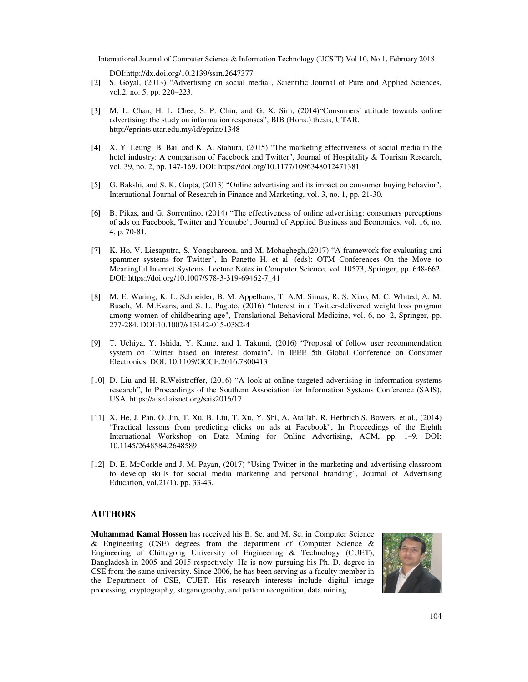DOI:http://dx.doi.org/10.2139/ssrn.2647377

- [2] S. Goyal, (2013) "Advertising on social media", Scientific Journal of Pure and Applied Sciences, vol.2, no. 5, pp. 220–223.
- [3] M. L. Chan, H. L. Chee, S. P. Chin, and G. X. Sim, (2014)"Consumers' attitude towards online advertising: the study on information responses", BIB (Hons.) thesis, UTAR. http://eprints.utar.edu.my/id/eprint/1348
- [4] X. Y. Leung, B. Bai, and K. A. Stahura, (2015) "The marketing effectiveness of social media in the hotel industry: A comparison of Facebook and Twitter", Journal of Hospitality & Tourism Research, vol. 39, no. 2, pp. 147-169. DOI: https://doi.org/10.1177/1096348012471381
- [5] G. Bakshi, and S. K. Gupta, (2013) "Online advertising and its impact on consumer buying behavior", International Journal of Research in Finance and Marketing, vol. 3, no. 1, pp. 21-30.
- [6] B. Pikas, and G. Sorrentino, (2014) "The effectiveness of online advertising: consumers perceptions of ads on Facebook, Twitter and Youtube", Journal of Applied Business and Economics, vol. 16, no. 4, p. 70-81.
- [7] K. Ho, V. Liesaputra, S. Yongchareon, and M. Mohaghegh,(2017) "A framework for evaluating anti spammer systems for Twitter", In Panetto H. et al. (eds): OTM Conferences On the Move to Meaningful Internet Systems. Lecture Notes in Computer Science, vol. 10573, Springer, pp. 648-662. DOI: https://doi.org/10.1007/978-3-319-69462-7\_41
- [8] M. E. Waring, K. L. Schneider, B. M. Appelhans, T. A.M. Simas, R. S. Xiao, M. C. Whited, A. M. Busch, M. M.Evans, and S. L. Pagoto, (2016) "Interest in a Twitter-delivered weight loss program among women of childbearing age", Translational Behavioral Medicine, vol. 6, no. 2, Springer, pp. 277-284. DOI:10.1007/s13142-015-0382-4
- [9] T. Uchiya, Y. Ishida, Y. Kume, and I. Takumi, (2016) "Proposal of follow user recommendation system on Twitter based on interest domain", In IEEE 5th Global Conference on Consumer Electronics. DOI: 10.1109/GCCE.2016.7800413
- [10] D. Liu and H. R.Weistroffer, (2016) "A look at online targeted advertising in information systems research", In Proceedings of the Southern Association for Information Systems Conference (SAIS), USA. https://aisel.aisnet.org/sais2016/17
- [11] X. He, J. Pan, O. Jin, T. Xu, B. Liu, T. Xu, Y. Shi, A. Atallah, R. Herbrich,S. Bowers, et al., (2014) "Practical lessons from predicting clicks on ads at Facebook", In Proceedings of the Eighth International Workshop on Data Mining for Online Advertising, ACM, pp. 1–9. DOI: 10.1145/2648584.2648589
- [12] D. E. McCorkle and J. M. Payan, (2017) "Using Twitter in the marketing and advertising classroom to develop skills for social media marketing and personal branding", Journal of Advertising Education, vol.21(1), pp. 33-43.

## **AUTHORS**

**Muhammad Kamal Hossen** has received his B. Sc. and M. Sc. in Computer Science  $\&$  Engineering (CSE) degrees from the department of Computer Science  $\&$ Engineering of Chittagong University of Engineering & Technology (CUET), Bangladesh in 2005 and 2015 respectively. He is now pursuing his Ph. D. degree in CSE from the same university. Since 2006, he has been serving as a faculty member in the Department of CSE, CUET. His research interests include digital image processing, cryptography, steganography, and pattern recognition, data mining.